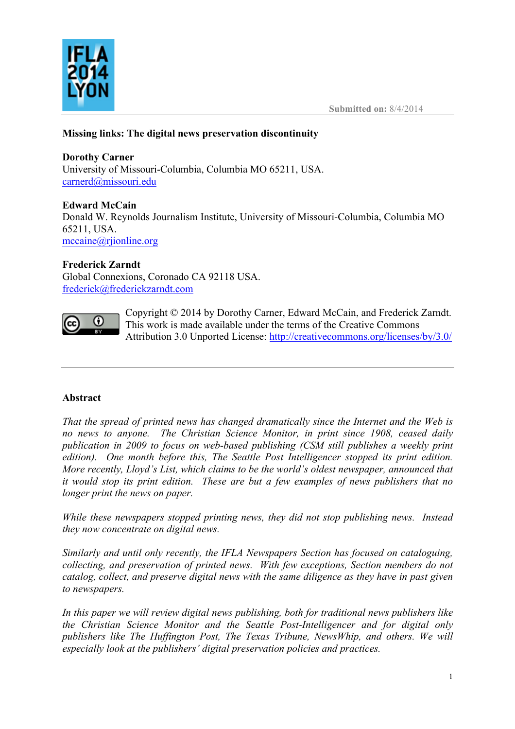

# **Missing links: The digital news preservation discontinuity**

# **Dorothy Carner**

University of Missouri-Columbia, Columbia MO 65211, USA. carnerd@missouri.edu

# **Edward McCain**

Donald W. Reynolds Journalism Institute, University of Missouri-Columbia, Columbia MO 65211, USA. mccaine@rjionline.org

## **Frederick Zarndt**

Global Connexions, Coronado CA 92118 USA. frederick@frederickzarndt.com



Copyright © 2014 by Dorothy Carner, Edward McCain, and Frederick Zarndt. This work is made available under the terms of the Creative Commons Attribution 3.0 Unported License: http://creativecommons.org/licenses/by/3.0/

# **Abstract**

*That the spread of printed news has changed dramatically since the Internet and the Web is no news to anyone. The Christian Science Monitor, in print since 1908, ceased daily publication in 2009 to focus on web-based publishing (CSM still publishes a weekly print edition). One month before this, The Seattle Post Intelligencer stopped its print edition. More recently, Lloyd's List, which claims to be the world's oldest newspaper, announced that it would stop its print edition. These are but a few examples of news publishers that no longer print the news on paper.*

*While these newspapers stopped printing news, they did not stop publishing news. Instead they now concentrate on digital news.*

*Similarly and until only recently, the IFLA Newspapers Section has focused on cataloguing, collecting, and preservation of printed news. With few exceptions, Section members do not catalog, collect, and preserve digital news with the same diligence as they have in past given to newspapers.*

*In this paper we will review digital news publishing, both for traditional news publishers like the Christian Science Monitor and the Seattle Post-Intelligencer and for digital only publishers like The Huffington Post, The Texas Tribune, NewsWhip, and others. We will especially look at the publishers' digital preservation policies and practices.*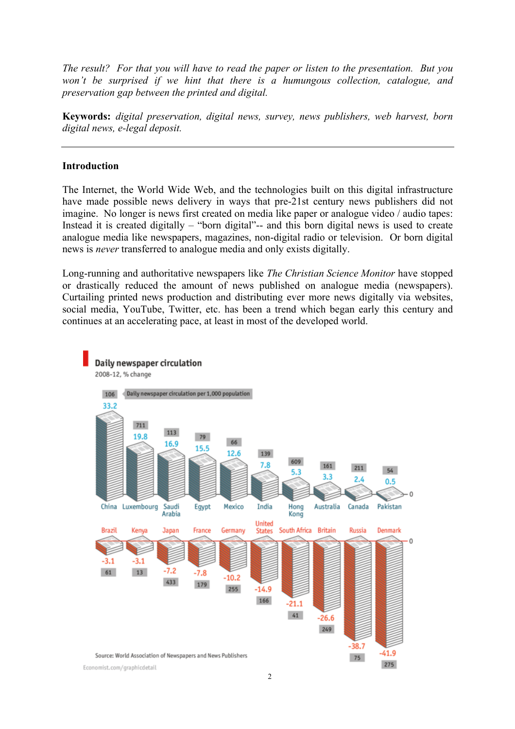*The result? For that you will have to read the paper or listen to the presentation. But you won't be surprised if we hint that there is a humungous collection, catalogue, and preservation gap between the printed and digital.*

**Keywords:** *digital preservation, digital news, survey, news publishers, web harvest, born digital news, e-legal deposit.*

#### **Introduction**

The Internet, the World Wide Web, and the technologies built on this digital infrastructure have made possible news delivery in ways that pre-21st century news publishers did not imagine. No longer is news first created on media like paper or analogue video / audio tapes: Instead it is created digitally – "born digital"-- and this born digital news is used to create analogue media like newspapers, magazines, non-digital radio or television. Or born digital news is *never* transferred to analogue media and only exists digitally.

Long-running and authoritative newspapers like *The Christian Science Monitor* have stopped or drastically reduced the amount of news published on analogue media (newspapers). Curtailing printed news production and distributing ever more news digitally via websites, social media, YouTube, Twitter, etc. has been a trend which began early this century and continues at an accelerating pace, at least in most of the developed world.

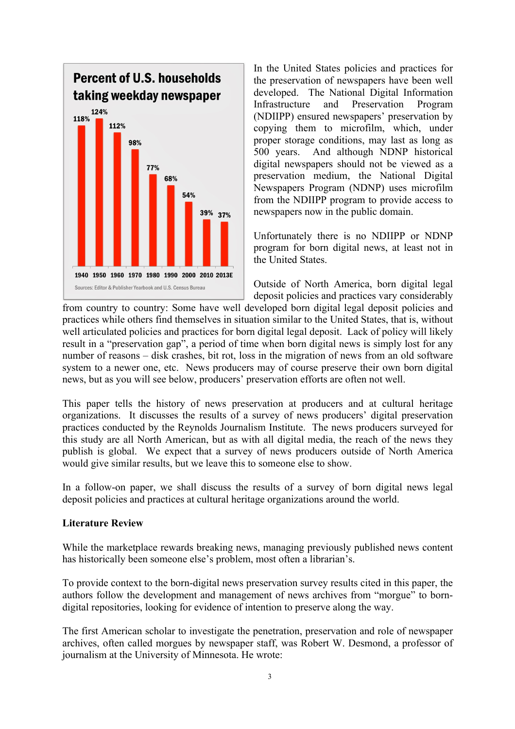

In the United States policies and practices for the preservation of newspapers have been well developed. The National Digital Information Infrastructure and Preservation Program (NDIIPP) ensured newspapers' preservation by copying them to microfilm, which, under proper storage conditions, may last as long as 500 years. And although NDNP historical digital newspapers should not be viewed as a preservation medium, the National Digital Newspapers Program (NDNP) uses microfilm from the NDIIPP program to provide access to newspapers now in the public domain.

Unfortunately there is no NDIIPP or NDNP program for born digital news, at least not in the United States.

Outside of North America, born digital legal deposit policies and practices vary considerably

from country to country: Some have well developed born digital legal deposit policies and practices while others find themselves in situation similar to the United States, that is, without well articulated policies and practices for born digital legal deposit. Lack of policy will likely result in a "preservation gap", a period of time when born digital news is simply lost for any number of reasons – disk crashes, bit rot, loss in the migration of news from an old software system to a newer one, etc. News producers may of course preserve their own born digital news, but as you will see below, producers' preservation efforts are often not well.

This paper tells the history of news preservation at producers and at cultural heritage organizations. It discusses the results of a survey of news producers' digital preservation practices conducted by the Reynolds Journalism Institute. The news producers surveyed for this study are all North American, but as with all digital media, the reach of the news they publish is global. We expect that a survey of news producers outside of North America would give similar results, but we leave this to someone else to show.

In a follow-on paper, we shall discuss the results of a survey of born digital news legal deposit policies and practices at cultural heritage organizations around the world.

#### **Literature Review**

While the marketplace rewards breaking news, managing previously published news content has historically been someone else's problem, most often a librarian's.

To provide context to the born-digital news preservation survey results cited in this paper, the authors follow the development and management of news archives from "morgue" to borndigital repositories, looking for evidence of intention to preserve along the way.

The first American scholar to investigate the penetration, preservation and role of newspaper archives, often called morgues by newspaper staff, was Robert W. Desmond, a professor of journalism at the University of Minnesota. He wrote: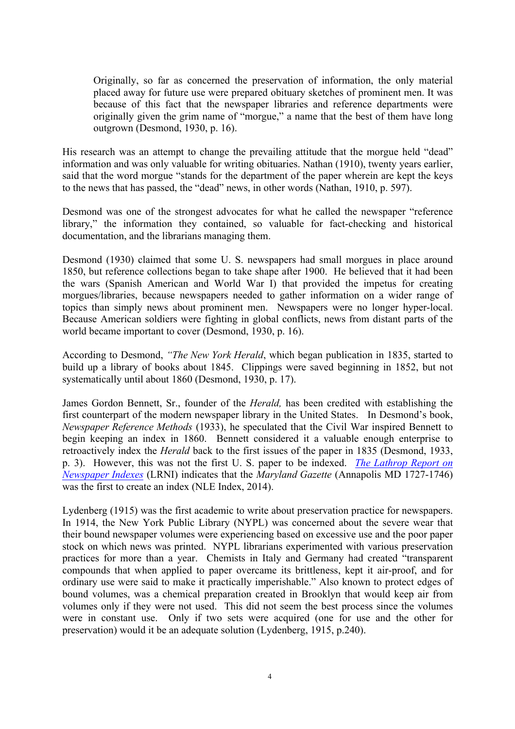Originally, so far as concerned the preservation of information, the only material placed away for future use were prepared obituary sketches of prominent men. It was because of this fact that the newspaper libraries and reference departments were originally given the grim name of "morgue," a name that the best of them have long outgrown (Desmond, 1930, p. 16).

His research was an attempt to change the prevailing attitude that the morgue held "dead" information and was only valuable for writing obituaries. Nathan (1910), twenty years earlier, said that the word morgue "stands for the department of the paper wherein are kept the keys to the news that has passed, the "dead" news, in other words (Nathan, 1910, p. 597).

Desmond was one of the strongest advocates for what he called the newspaper "reference library," the information they contained, so valuable for fact-checking and historical documentation, and the librarians managing them.

Desmond (1930) claimed that some U. S. newspapers had small morgues in place around 1850, but reference collections began to take shape after 1900. He believed that it had been the wars (Spanish American and World War I) that provided the impetus for creating morgues/libraries, because newspapers needed to gather information on a wider range of topics than simply news about prominent men. Newspapers were no longer hyper-local. Because American soldiers were fighting in global conflicts, news from distant parts of the world became important to cover (Desmond, 1930, p. 16).

According to Desmond, *"The New York Herald*, which began publication in 1835, started to build up a library of books about 1845. Clippings were saved beginning in 1852, but not systematically until about 1860 (Desmond, 1930, p. 17).

James Gordon Bennett, Sr., founder of the *Herald,* has been credited with establishing the first counterpart of the modern newspaper library in the United States. In Desmond's book, *Newspaper Reference Methods* (1933), he speculated that the Civil War inspired Bennett to begin keeping an index in 1860. Bennett considered it a valuable enough enterprise to retroactively index the *Herald* back to the first issues of the paper in 1835 (Desmond, 1933, p. 3). However, this was not the first U. S. paper to be indexed. *The Lathrop Report on Newspaper Indexes* (LRNI) indicates that the *Maryland Gazette* (Annapolis MD 1727-1746) was the first to create an index (NLE Index, 2014).

Lydenberg (1915) was the first academic to write about preservation practice for newspapers. In 1914, the New York Public Library (NYPL) was concerned about the severe wear that their bound newspaper volumes were experiencing based on excessive use and the poor paper stock on which news was printed. NYPL librarians experimented with various preservation practices for more than a year. Chemists in Italy and Germany had created "transparent compounds that when applied to paper overcame its brittleness, kept it air-proof, and for ordinary use were said to make it practically imperishable." Also known to protect edges of bound volumes, was a chemical preparation created in Brooklyn that would keep air from volumes only if they were not used. This did not seem the best process since the volumes were in constant use. Only if two sets were acquired (one for use and the other for preservation) would it be an adequate solution (Lydenberg, 1915, p.240).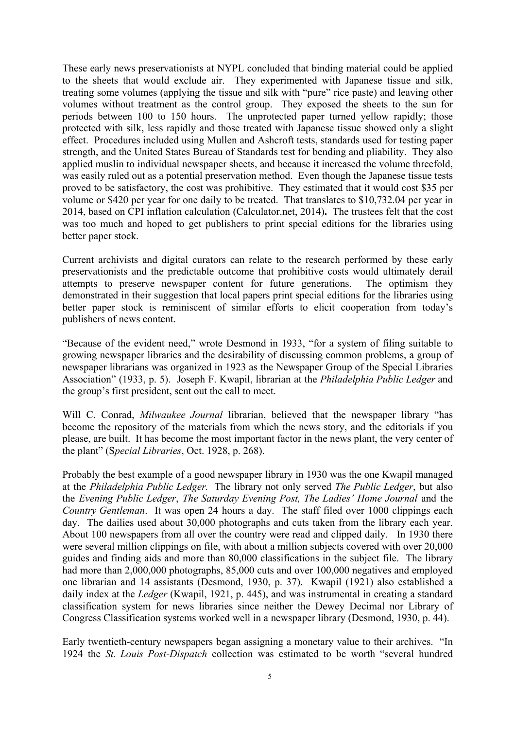These early news preservationists at NYPL concluded that binding material could be applied to the sheets that would exclude air. They experimented with Japanese tissue and silk, treating some volumes (applying the tissue and silk with "pure" rice paste) and leaving other volumes without treatment as the control group. They exposed the sheets to the sun for periods between 100 to 150 hours. The unprotected paper turned yellow rapidly; those protected with silk, less rapidly and those treated with Japanese tissue showed only a slight effect. Procedures included using Mullen and Ashcroft tests, standards used for testing paper strength, and the United States Bureau of Standards test for bending and pliability. They also applied muslin to individual newspaper sheets, and because it increased the volume threefold, was easily ruled out as a potential preservation method. Even though the Japanese tissue tests proved to be satisfactory, the cost was prohibitive. They estimated that it would cost \$35 per volume or \$420 per year for one daily to be treated. That translates to \$10,732.04 per year in 2014, based on CPI inflation calculation (Calculator.net, 2014)**.** The trustees felt that the cost was too much and hoped to get publishers to print special editions for the libraries using better paper stock.

Current archivists and digital curators can relate to the research performed by these early preservationists and the predictable outcome that prohibitive costs would ultimately derail attempts to preserve newspaper content for future generations. The optimism they demonstrated in their suggestion that local papers print special editions for the libraries using better paper stock is reminiscent of similar efforts to elicit cooperation from today's publishers of news content.

"Because of the evident need," wrote Desmond in 1933, "for a system of filing suitable to growing newspaper libraries and the desirability of discussing common problems, a group of newspaper librarians was organized in 1923 as the Newspaper Group of the Special Libraries Association" (1933, p. 5). Joseph F. Kwapil, librarian at the *Philadelphia Public Ledger* and the group's first president, sent out the call to meet.

Will C. Conrad, *Milwaukee Journal* librarian, believed that the newspaper library "has become the repository of the materials from which the news story, and the editorials if you please, are built. It has become the most important factor in the news plant, the very center of the plant" (S*pecial Libraries*, Oct. 1928, p. 268).

Probably the best example of a good newspaper library in 1930 was the one Kwapil managed at the *Philadelphia Public Ledger.* The library not only served *The Public Ledger*, but also the *Evening Public Ledger*, *The Saturday Evening Post, The Ladies' Home Journal* and the *Country Gentleman*. It was open 24 hours a day. The staff filed over 1000 clippings each day. The dailies used about 30,000 photographs and cuts taken from the library each year. About 100 newspapers from all over the country were read and clipped daily. In 1930 there were several million clippings on file, with about a million subjects covered with over 20,000 guides and finding aids and more than 80,000 classifications in the subject file. The library had more than 2,000,000 photographs, 85,000 cuts and over 100,000 negatives and employed one librarian and 14 assistants (Desmond, 1930, p. 37). Kwapil (1921) also established a daily index at the *Ledger* (Kwapil, 1921, p. 445), and was instrumental in creating a standard classification system for news libraries since neither the Dewey Decimal nor Library of Congress Classification systems worked well in a newspaper library (Desmond, 1930, p. 44).

Early twentieth-century newspapers began assigning a monetary value to their archives. "In 1924 the *St. Louis Post-Dispatch* collection was estimated to be worth "several hundred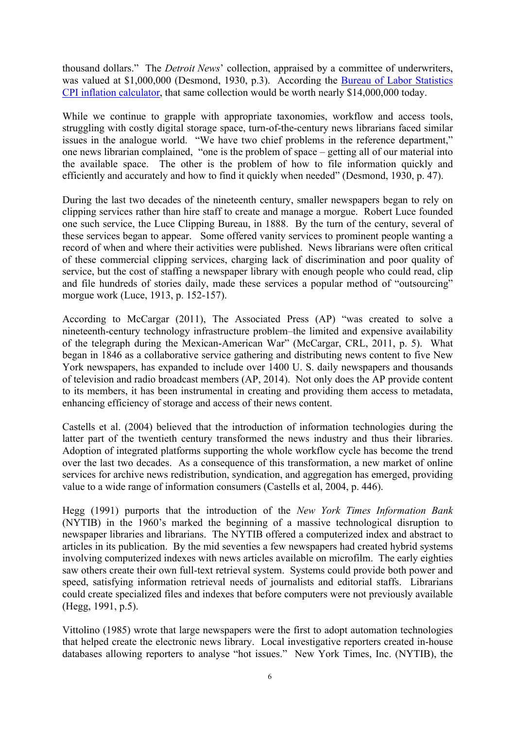thousand dollars." The *Detroit News*' collection, appraised by a committee of underwriters, was valued at \$1,000,000 (Desmond, 1930, p.3). According the Bureau of Labor Statistics CPI inflation calculator, that same collection would be worth nearly \$14,000,000 today.

While we continue to grapple with appropriate taxonomies, workflow and access tools, struggling with costly digital storage space, turn-of-the-century news librarians faced similar issues in the analogue world. "We have two chief problems in the reference department," one news librarian complained, "one is the problem of space – getting all of our material into the available space. The other is the problem of how to file information quickly and efficiently and accurately and how to find it quickly when needed" (Desmond, 1930, p. 47).

During the last two decades of the nineteenth century, smaller newspapers began to rely on clipping services rather than hire staff to create and manage a morgue. Robert Luce founded one such service, the Luce Clipping Bureau, in 1888. By the turn of the century, several of these services began to appear. Some offered vanity services to prominent people wanting a record of when and where their activities were published. News librarians were often critical of these commercial clipping services, charging lack of discrimination and poor quality of service, but the cost of staffing a newspaper library with enough people who could read, clip and file hundreds of stories daily, made these services a popular method of "outsourcing" morgue work (Luce, 1913, p. 152-157).

According to McCargar (2011), The Associated Press (AP) "was created to solve a nineteenth-century technology infrastructure problem–the limited and expensive availability of the telegraph during the Mexican-American War" (McCargar, CRL, 2011, p. 5). What began in 1846 as a collaborative service gathering and distributing news content to five New York newspapers, has expanded to include over 1400 U. S. daily newspapers and thousands of television and radio broadcast members (AP, 2014). Not only does the AP provide content to its members, it has been instrumental in creating and providing them access to metadata, enhancing efficiency of storage and access of their news content.

Castells et al. (2004) believed that the introduction of information technologies during the latter part of the twentieth century transformed the news industry and thus their libraries. Adoption of integrated platforms supporting the whole workflow cycle has become the trend over the last two decades. As a consequence of this transformation, a new market of online services for archive news redistribution, syndication, and aggregation has emerged, providing value to a wide range of information consumers (Castells et al, 2004, p. 446).

Hegg (1991) purports that the introduction of the *New York Times Information Bank*  (NYTIB) in the 1960's marked the beginning of a massive technological disruption to newspaper libraries and librarians. The NYTIB offered a computerized index and abstract to articles in its publication. By the mid seventies a few newspapers had created hybrid systems involving computerized indexes with news articles available on microfilm. The early eighties saw others create their own full-text retrieval system. Systems could provide both power and speed, satisfying information retrieval needs of journalists and editorial staffs. Librarians could create specialized files and indexes that before computers were not previously available (Hegg, 1991, p.5).

Vittolino (1985) wrote that large newspapers were the first to adopt automation technologies that helped create the electronic news library. Local investigative reporters created in-house databases allowing reporters to analyse "hot issues." New York Times, Inc. (NYTIB), the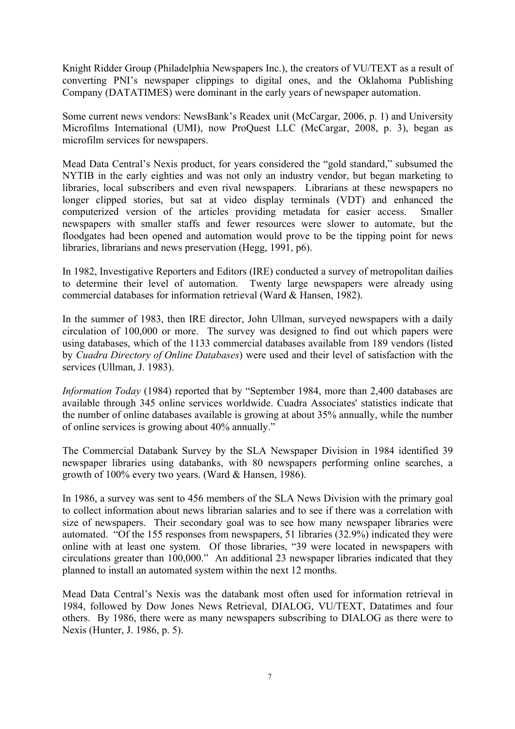Knight Ridder Group (Philadelphia Newspapers Inc.), the creators of VU/TEXT as a result of converting PNI's newspaper clippings to digital ones, and the Oklahoma Publishing Company (DATATIMES) were dominant in the early years of newspaper automation.

Some current news vendors: NewsBank's Readex unit (McCargar, 2006, p. 1) and University Microfilms International (UMI), now ProQuest LLC (McCargar, 2008, p. 3), began as microfilm services for newspapers.

Mead Data Central's Nexis product, for years considered the "gold standard," subsumed the NYTIB in the early eighties and was not only an industry vendor, but began marketing to libraries, local subscribers and even rival newspapers. Librarians at these newspapers no longer clipped stories, but sat at video display terminals (VDT) and enhanced the computerized version of the articles providing metadata for easier access. Smaller newspapers with smaller staffs and fewer resources were slower to automate, but the floodgates had been opened and automation would prove to be the tipping point for news libraries, librarians and news preservation (Hegg, 1991, p6).

In 1982, Investigative Reporters and Editors (IRE) conducted a survey of metropolitan dailies to determine their level of automation. Twenty large newspapers were already using commercial databases for information retrieval (Ward & Hansen, 1982).

In the summer of 1983, then IRE director, John Ullman, surveyed newspapers with a daily circulation of 100,000 or more. The survey was designed to find out which papers were using databases, which of the 1133 commercial databases available from 189 vendors (listed by *Cuadra Directory of Online Databases*) were used and their level of satisfaction with the services (Ullman, J. 1983).

*Information Today* (1984) reported that by "September 1984, more than 2,400 databases are available through 345 online services worldwide. Cuadra Associates' statistics indicate that the number of online databases available is growing at about 35% annually, while the number of online services is growing about 40% annually."

The Commercial Databank Survey by the SLA Newspaper Division in 1984 identified 39 newspaper libraries using databanks, with 80 newspapers performing online searches, a growth of 100% every two years. (Ward & Hansen, 1986).

In 1986, a survey was sent to 456 members of the SLA News Division with the primary goal to collect information about news librarian salaries and to see if there was a correlation with size of newspapers. Their secondary goal was to see how many newspaper libraries were automated. "Of the 155 responses from newspapers, 51 libraries (32.9%) indicated they were online with at least one system. Of those libraries, "39 were located in newspapers with circulations greater than 100,000." An additional 23 newspaper libraries indicated that they planned to install an automated system within the next 12 months.

Mead Data Central's Nexis was the databank most often used for information retrieval in 1984, followed by Dow Jones News Retrieval, DIALOG, VU/TEXT, Datatimes and four others. By 1986, there were as many newspapers subscribing to DIALOG as there were to Nexis (Hunter, J. 1986, p. 5).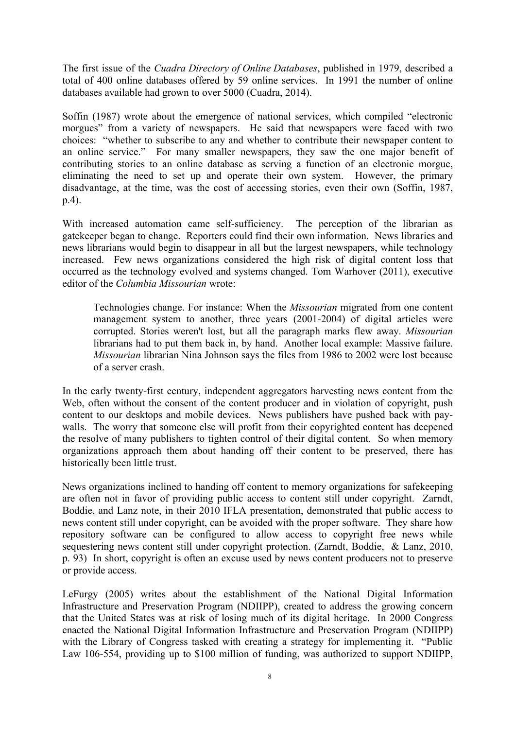The first issue of the *Cuadra Directory of Online Databases*, published in 1979, described a total of 400 online databases offered by 59 online services. In 1991 the number of online databases available had grown to over 5000 (Cuadra, 2014).

Soffin (1987) wrote about the emergence of national services, which compiled "electronic morgues" from a variety of newspapers. He said that newspapers were faced with two choices: "whether to subscribe to any and whether to contribute their newspaper content to an online service." For many smaller newspapers, they saw the one major benefit of contributing stories to an online database as serving a function of an electronic morgue, eliminating the need to set up and operate their own system. However, the primary disadvantage, at the time, was the cost of accessing stories, even their own (Soffin, 1987, p.4).

With increased automation came self-sufficiency. The perception of the librarian as gatekeeper began to change. Reporters could find their own information. News libraries and news librarians would begin to disappear in all but the largest newspapers, while technology increased. Few news organizations considered the high risk of digital content loss that occurred as the technology evolved and systems changed. Tom Warhover (2011), executive editor of the *Columbia Missourian* wrote:

Technologies change. For instance: When the *Missourian* migrated from one content management system to another, three years (2001-2004) of digital articles were corrupted. Stories weren't lost, but all the paragraph marks flew away. *Missourian* librarians had to put them back in, by hand. Another local example: Massive failure. *Missourian* librarian Nina Johnson says the files from 1986 to 2002 were lost because of a server crash.

In the early twenty-first century, independent aggregators harvesting news content from the Web, often without the consent of the content producer and in violation of copyright, push content to our desktops and mobile devices. News publishers have pushed back with paywalls. The worry that someone else will profit from their copyrighted content has deepened the resolve of many publishers to tighten control of their digital content. So when memory organizations approach them about handing off their content to be preserved, there has historically been little trust.

News organizations inclined to handing off content to memory organizations for safekeeping are often not in favor of providing public access to content still under copyright. Zarndt, Boddie, and Lanz note, in their 2010 IFLA presentation, demonstrated that public access to news content still under copyright, can be avoided with the proper software. They share how repository software can be configured to allow access to copyright free news while sequestering news content still under copyright protection. (Zarndt, Boddie, & Lanz, 2010, p. 93) In short, copyright is often an excuse used by news content producers not to preserve or provide access.

LeFurgy (2005) writes about the establishment of the National Digital Information Infrastructure and Preservation Program (NDIIPP), created to address the growing concern that the United States was at risk of losing much of its digital heritage. In 2000 Congress enacted the National Digital Information Infrastructure and Preservation Program (NDIIPP) with the Library of Congress tasked with creating a strategy for implementing it. "Public Law 106-554, providing up to \$100 million of funding, was authorized to support NDIIPP,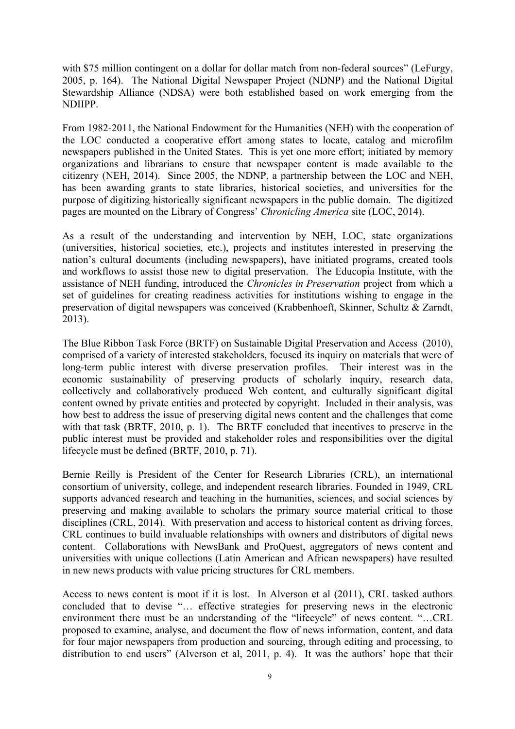with \$75 million contingent on a dollar for dollar match from non-federal sources" (LeFurgy, 2005, p. 164). The National Digital Newspaper Project (NDNP) and the National Digital Stewardship Alliance (NDSA) were both established based on work emerging from the NDIIPP.

From 1982-2011, the National Endowment for the Humanities (NEH) with the cooperation of the LOC conducted a cooperative effort among states to locate, catalog and microfilm newspapers published in the United States. This is yet one more effort; initiated by memory organizations and librarians to ensure that newspaper content is made available to the citizenry (NEH, 2014). Since 2005, the NDNP, a partnership between the LOC and NEH, has been awarding grants to state libraries, historical societies, and universities for the purpose of digitizing historically significant newspapers in the public domain. The digitized pages are mounted on the Library of Congress' *Chronicling America* site (LOC, 2014).

As a result of the understanding and intervention by NEH, LOC, state organizations (universities, historical societies, etc.), projects and institutes interested in preserving the nation's cultural documents (including newspapers), have initiated programs, created tools and workflows to assist those new to digital preservation. The Educopia Institute, with the assistance of NEH funding, introduced the *Chronicles in Preservation* project from which a set of guidelines for creating readiness activities for institutions wishing to engage in the preservation of digital newspapers was conceived (Krabbenhoeft, Skinner, Schultz & Zarndt, 2013).

The Blue Ribbon Task Force (BRTF) on Sustainable Digital Preservation and Access (2010), comprised of a variety of interested stakeholders, focused its inquiry on materials that were of long-term public interest with diverse preservation profiles. Their interest was in the economic sustainability of preserving products of scholarly inquiry, research data, collectively and collaboratively produced Web content, and culturally significant digital content owned by private entities and protected by copyright. Included in their analysis, was how best to address the issue of preserving digital news content and the challenges that come with that task (BRTF, 2010, p. 1). The BRTF concluded that incentives to preserve in the public interest must be provided and stakeholder roles and responsibilities over the digital lifecycle must be defined (BRTF, 2010, p. 71).

Bernie Reilly is President of the Center for Research Libraries (CRL), an international consortium of university, college, and independent research libraries. Founded in 1949, CRL supports advanced research and teaching in the humanities, sciences, and social sciences by preserving and making available to scholars the primary source material critical to those disciplines (CRL, 2014). With preservation and access to historical content as driving forces, CRL continues to build invaluable relationships with owners and distributors of digital news content. Collaborations with NewsBank and ProQuest, aggregators of news content and universities with unique collections (Latin American and African newspapers) have resulted in new news products with value pricing structures for CRL members.

Access to news content is moot if it is lost. In Alverson et al (2011), CRL tasked authors concluded that to devise "… effective strategies for preserving news in the electronic environment there must be an understanding of the "lifecycle" of news content. "…CRL proposed to examine, analyse, and document the flow of news information, content, and data for four major newspapers from production and sourcing, through editing and processing, to distribution to end users" (Alverson et al, 2011, p. 4). It was the authors' hope that their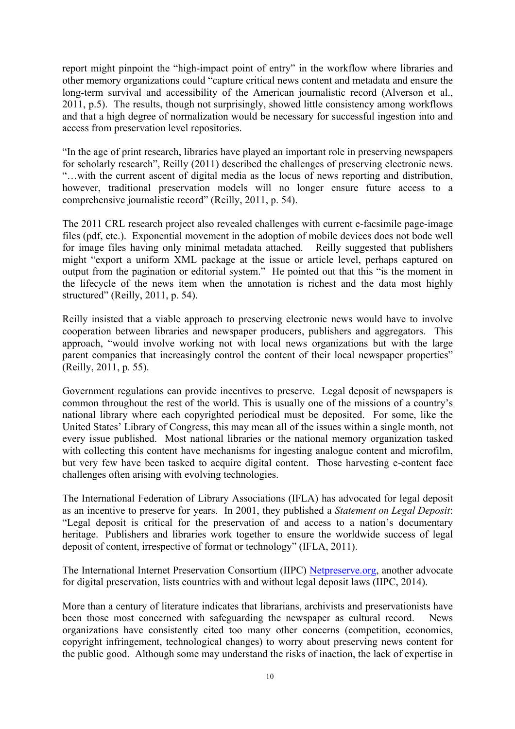report might pinpoint the "high-impact point of entry" in the workflow where libraries and other memory organizations could "capture critical news content and metadata and ensure the long-term survival and accessibility of the American journalistic record (Alverson et al., 2011, p.5). The results, though not surprisingly, showed little consistency among workflows and that a high degree of normalization would be necessary for successful ingestion into and access from preservation level repositories.

"In the age of print research, libraries have played an important role in preserving newspapers for scholarly research", Reilly (2011) described the challenges of preserving electronic news. "…with the current ascent of digital media as the locus of news reporting and distribution, however, traditional preservation models will no longer ensure future access to a comprehensive journalistic record" (Reilly, 2011, p. 54).

The 2011 CRL research project also revealed challenges with current e-facsimile page-image files (pdf, etc.). Exponential movement in the adoption of mobile devices does not bode well for image files having only minimal metadata attached. Reilly suggested that publishers might "export a uniform XML package at the issue or article level, perhaps captured on output from the pagination or editorial system." He pointed out that this "is the moment in the lifecycle of the news item when the annotation is richest and the data most highly structured" (Reilly, 2011, p. 54).

Reilly insisted that a viable approach to preserving electronic news would have to involve cooperation between libraries and newspaper producers, publishers and aggregators. This approach, "would involve working not with local news organizations but with the large parent companies that increasingly control the content of their local newspaper properties" (Reilly, 2011, p. 55).

Government regulations can provide incentives to preserve. Legal deposit of newspapers is common throughout the rest of the world. This is usually one of the missions of a country's national library where each copyrighted periodical must be deposited. For some, like the United States' Library of Congress, this may mean all of the issues within a single month, not every issue published. Most national libraries or the national memory organization tasked with collecting this content have mechanisms for ingesting analogue content and microfilm, but very few have been tasked to acquire digital content. Those harvesting e-content face challenges often arising with evolving technologies.

The International Federation of Library Associations (IFLA) has advocated for legal deposit as an incentive to preserve for years. In 2001, they published a *Statement on Legal Deposit*: "Legal deposit is critical for the preservation of and access to a nation's documentary heritage. Publishers and libraries work together to ensure the worldwide success of legal deposit of content, irrespective of format or technology" (IFLA, 2011).

The International Internet Preservation Consortium (IIPC) Netpreserve.org, another advocate for digital preservation, lists countries with and without legal deposit laws (IIPC, 2014).

More than a century of literature indicates that librarians, archivists and preservationists have been those most concerned with safeguarding the newspaper as cultural record. News organizations have consistently cited too many other concerns (competition, economics, copyright infringement, technological changes) to worry about preserving news content for the public good. Although some may understand the risks of inaction, the lack of expertise in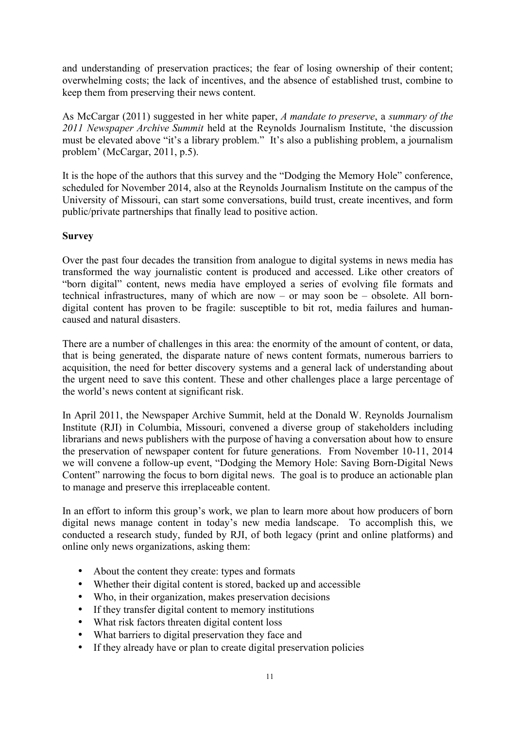and understanding of preservation practices; the fear of losing ownership of their content; overwhelming costs; the lack of incentives, and the absence of established trust, combine to keep them from preserving their news content.

As McCargar (2011) suggested in her white paper, *A mandate to preserve*, a *summary of the 2011 Newspaper Archive Summit* held at the Reynolds Journalism Institute, 'the discussion must be elevated above "it's a library problem." It's also a publishing problem, a journalism problem' (McCargar, 2011, p.5).

It is the hope of the authors that this survey and the "Dodging the Memory Hole" conference, scheduled for November 2014, also at the Reynolds Journalism Institute on the campus of the University of Missouri, can start some conversations, build trust, create incentives, and form public/private partnerships that finally lead to positive action.

#### **Survey**

Over the past four decades the transition from analogue to digital systems in news media has transformed the way journalistic content is produced and accessed. Like other creators of "born digital" content, news media have employed a series of evolving file formats and technical infrastructures, many of which are now – or may soon be – obsolete. All borndigital content has proven to be fragile: susceptible to bit rot, media failures and humancaused and natural disasters.

There are a number of challenges in this area: the enormity of the amount of content, or data, that is being generated, the disparate nature of news content formats, numerous barriers to acquisition, the need for better discovery systems and a general lack of understanding about the urgent need to save this content. These and other challenges place a large percentage of the world's news content at significant risk.

In April 2011, the Newspaper Archive Summit, held at the Donald W. Reynolds Journalism Institute (RJI) in Columbia, Missouri, convened a diverse group of stakeholders including librarians and news publishers with the purpose of having a conversation about how to ensure the preservation of newspaper content for future generations. From November 10-11, 2014 we will convene a follow-up event, "Dodging the Memory Hole: Saving Born-Digital News Content" narrowing the focus to born digital news. The goal is to produce an actionable plan to manage and preserve this irreplaceable content.

In an effort to inform this group's work, we plan to learn more about how producers of born digital news manage content in today's new media landscape. To accomplish this, we conducted a research study, funded by RJI, of both legacy (print and online platforms) and online only news organizations, asking them:

- About the content they create: types and formats
- Whether their digital content is stored, backed up and accessible
- Who, in their organization, makes preservation decisions
- If they transfer digital content to memory institutions
- What risk factors threaten digital content loss
- What barriers to digital preservation they face and
- If they already have or plan to create digital preservation policies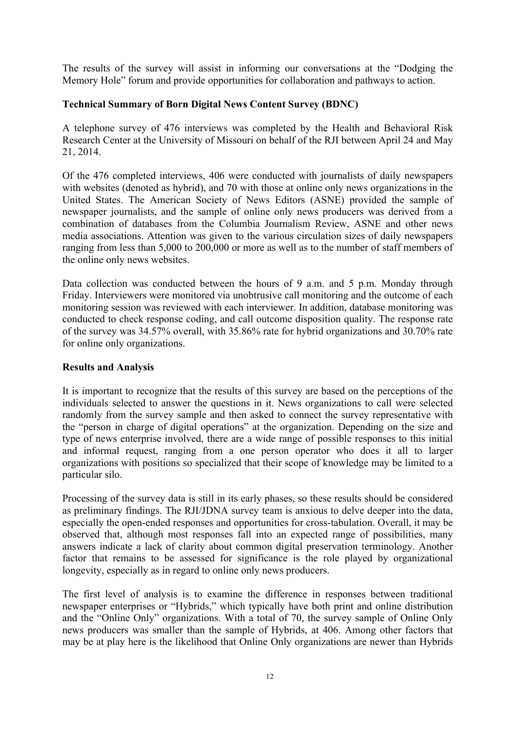The results of the survey will assist in informing our conversations at the "Dodging the Memory Hole" forum and provide opportunities for collaboration and pathways to action.

#### **Technical Summary of Born Digital News Content Survey (BDNC)**

A telephone survey of 476 interviews was completed by the Health and Behavioral Risk Research Center at the University of Missouri on behalf of the RJI between April 24 and May 21, 2014.

Of the 476 completed interviews, 406 were conducted with journalists of daily newspapers with websites (denoted as hybrid), and 70 with those at online only news organizations in the United States. The American Society of News Editors (ASNE) provided the sample of newspaper journalists, and the sample of online only news producers was derived from a combination of databases from the Columbia Journalism Review, ASNE and other news media associations. Attention was given to the various circulation sizes of daily newspapers ranging from less than 5,000 to 200,000 or more as well as to the number of staff members of the online only news websites.

Data collection was conducted between the hours of 9 a.m. and 5 p.m. Monday through Friday. Interviewers were monitored via unobtrusive call monitoring and the outcome of each monitoring session was reviewed with each interviewer. In addition, database monitoring was conducted to check response coding, and call outcome disposition quality. The response rate of the survey was 34.57% overall, with 35.86% rate for hybrid organizations and 30.70% rate for online only organizations.

#### **Results and Analysis**

It is important to recognize that the results of this survey are based on the perceptions of the individuals selected to answer the questions in it. News organizations to call were selected randomly from the survey sample and then asked to connect the survey representative with the "person in charge of digital operations" at the organization. Depending on the size and type of news enterprise involved, there are a wide range of possible responses to this initial and informal request, ranging from a one person operator who does it all to larger organizations with positions so specialized that their scope of knowledge may be limited to a particular silo.

Processing of the survey data is still in its early phases, so these results should be considered as preliminary findings. The RJI/JDNA survey team is anxious to delve deeper into the data, especially the open-ended responses and opportunities for cross-tabulation. Overall, it may be observed that, although most responses fall into an expected range of possibilities, many answers indicate a lack of clarity about common digital preservation terminology. Another factor that remains to be assessed for significance is the role played by organizational longevity, especially as in regard to online only news producers.

The first level of analysis is to examine the difference in responses between traditional newspaper enterprises or "Hybrids," which typically have both print and online distribution and the "Online Only" organizations. With a total of 70, the survey sample of Online Only news producers was smaller than the sample of Hybrids, at 406. Among other factors that may be at play here is the likelihood that Online Only organizations are newer than Hybrids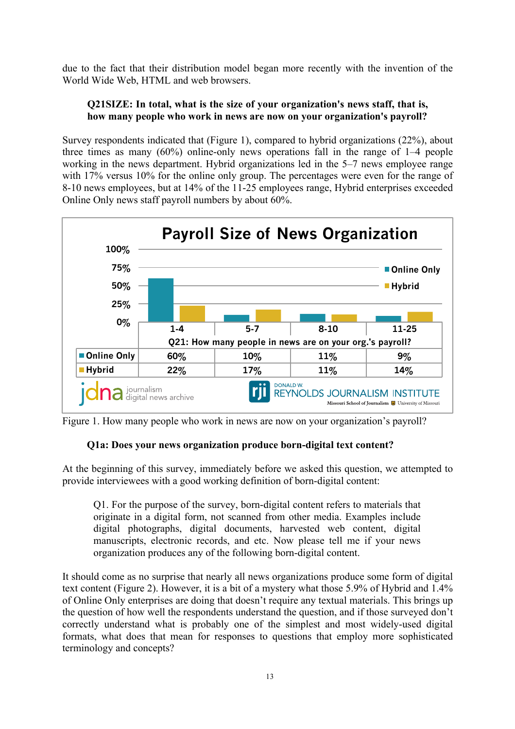due to the fact that their distribution model began more recently with the invention of the World Wide Web, HTML and web browsers.

## **Q21SIZE: In total, what is the size of your organization's news staff, that is, how many people who work in news are now on your organization's payroll?**

Survey respondents indicated that (Figure 1), compared to hybrid organizations (22%), about three times as many (60%) online-only news operations fall in the range of 1–4 people working in the news department. Hybrid organizations led in the 5–7 news employee range with 17% versus 10% for the online only group. The percentages were even for the range of 8-10 news employees, but at 14% of the 11-25 employees range, Hybrid enterprises exceeded Online Only news staff payroll numbers by about 60%.



Figure 1. How many people who work in news are now on your organization's payroll?

# **Q1a: Does your news organization produce born-digital text content?**

At the beginning of this survey, immediately before we asked this question, we attempted to provide interviewees with a good working definition of born-digital content:

Q1. For the purpose of the survey, born-digital content refers to materials that originate in a digital form, not scanned from other media. Examples include digital photographs, digital documents, harvested web content, digital manuscripts, electronic records, and etc. Now please tell me if your news organization produces any of the following born-digital content.

It should come as no surprise that nearly all news organizations produce some form of digital text content (Figure 2). However, it is a bit of a mystery what those 5.9% of Hybrid and 1.4% of Online Only enterprises are doing that doesn't require any textual materials. This brings up the question of how well the respondents understand the question, and if those surveyed don't correctly understand what is probably one of the simplest and most widely-used digital formats, what does that mean for responses to questions that employ more sophisticated terminology and concepts?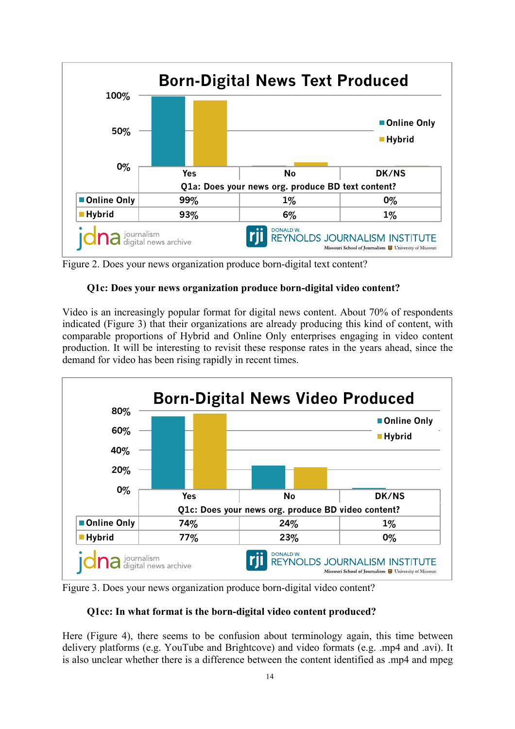

Figure 2. Does your news organization produce born-digital text content?

# **Q1c: Does your news organization produce born-digital video content?**

Video is an increasingly popular format for digital news content. About 70% of respondents indicated (Figure 3) that their organizations are already producing this kind of content, with comparable proportions of Hybrid and Online Only enterprises engaging in video content production. It will be interesting to revisit these response rates in the years ahead, since the demand for video has been rising rapidly in recent times.



Figure 3. Does your news organization produce born-digital video content?

## **Q1cc: In what format is the born-digital video content produced?**

Here (Figure 4), there seems to be confusion about terminology again, this time between delivery platforms (e.g. YouTube and Brightcove) and video formats (e.g. .mp4 and .avi). It is also unclear whether there is a difference between the content identified as .mp4 and mpeg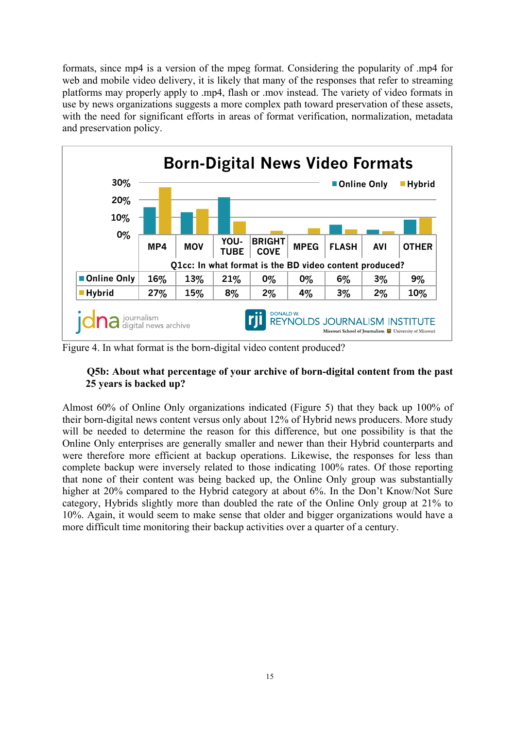formats, since mp4 is a version of the mpeg format. Considering the popularity of .mp4 for web and mobile video delivery, it is likely that many of the responses that refer to streaming platforms may properly apply to .mp4, flash or .mov instead. The variety of video formats in use by news organizations suggests a more complex path toward preservation of these assets, with the need for significant efforts in areas of format verification, normalization, metadata and preservation policy.



Figure 4. In what format is the born-digital video content produced?

## **Q5b: About what percentage of your archive of born-digital content from the past 25 years is backed up?**

Almost 60% of Online Only organizations indicated (Figure 5) that they back up 100% of their born-digital news content versus only about 12% of Hybrid news producers. More study will be needed to determine the reason for this difference, but one possibility is that the Online Only enterprises are generally smaller and newer than their Hybrid counterparts and were therefore more efficient at backup operations. Likewise, the responses for less than complete backup were inversely related to those indicating 100% rates. Of those reporting that none of their content was being backed up, the Online Only group was substantially higher at 20% compared to the Hybrid category at about 6%. In the Don't Know/Not Sure category, Hybrids slightly more than doubled the rate of the Online Only group at 21% to 10%. Again, it would seem to make sense that older and bigger organizations would have a more difficult time monitoring their backup activities over a quarter of a century.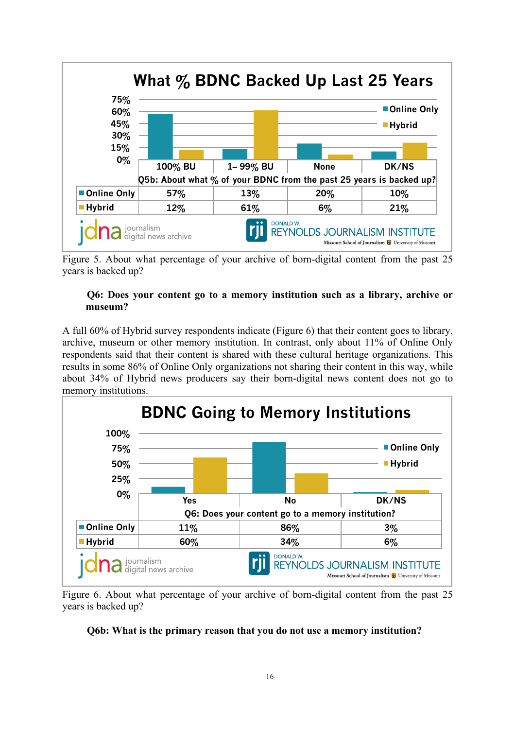

Figure 5. About what percentage of your archive of born-digital content from the past 25 years is backed up?

#### **Q6: Does your content go to a memory institution such as a library, archive or museum?**

A full 60% of Hybrid survey respondents indicate (Figure 6) that their content goes to library, archive, museum or other memory institution. In contrast, only about 11% of Online Only respondents said that their content is shared with these cultural heritage organizations. This results in some 86% of Online Only organizations not sharing their content in this way, while about 34% of Hybrid news producers say their born-digital news content does not go to memory institutions.



Figure 6. About what percentage of your archive of born-digital content from the past 25 years is backed up?

#### **Q6b: What is the primary reason that you do not use a memory institution?**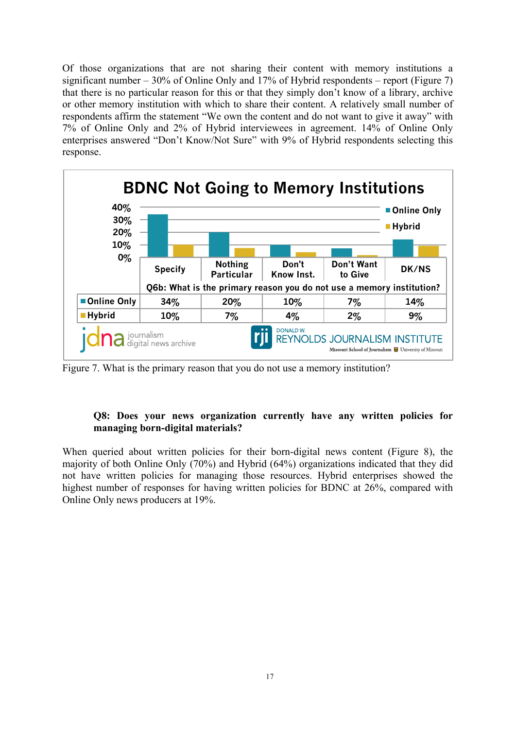Of those organizations that are not sharing their content with memory institutions a significant number  $-30\%$  of Online Only and 17% of Hybrid respondents – report (Figure 7) that there is no particular reason for this or that they simply don't know of a library, archive or other memory institution with which to share their content. A relatively small number of respondents affirm the statement "We own the content and do not want to give it away" with 7% of Online Only and 2% of Hybrid interviewees in agreement. 14% of Online Only enterprises answered "Don't Know/Not Sure" with 9% of Hybrid respondents selecting this response.



Figure 7. What is the primary reason that you do not use a memory institution?

## **Q8: Does your news organization currently have any written policies for managing born-digital materials?**

When queried about written policies for their born-digital news content (Figure 8), the majority of both Online Only (70%) and Hybrid (64%) organizations indicated that they did not have written policies for managing those resources. Hybrid enterprises showed the highest number of responses for having written policies for BDNC at 26%, compared with Online Only news producers at 19%.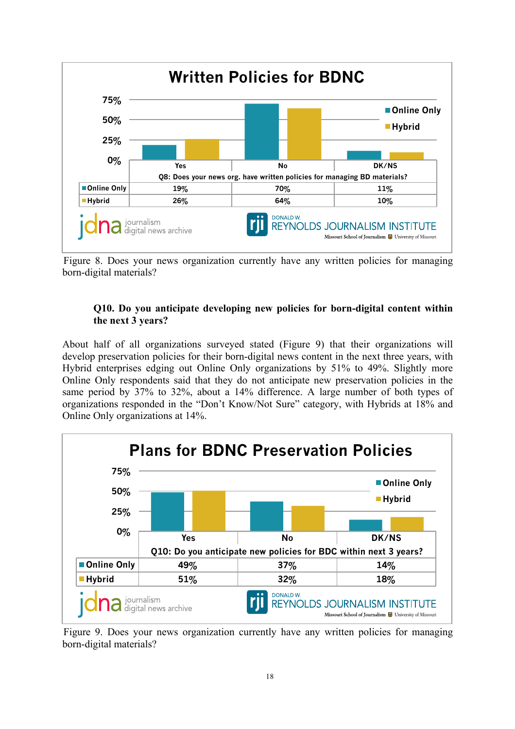

Figure 8. Does your news organization currently have any written policies for managing born-digital materials?

# **Q10. Do you anticipate developing new policies for born-digital content within the next 3 years?**

About half of all organizations surveyed stated (Figure 9) that their organizations will develop preservation policies for their born-digital news content in the next three years, with Hybrid enterprises edging out Online Only organizations by 51% to 49%. Slightly more Online Only respondents said that they do not anticipate new preservation policies in the same period by 37% to 32%, about a 14% difference. A large number of both types of organizations responded in the "Don't Know/Not Sure" category, with Hybrids at 18% and Online Only organizations at 14%.



Figure 9. Does your news organization currently have any written policies for managing born-digital materials?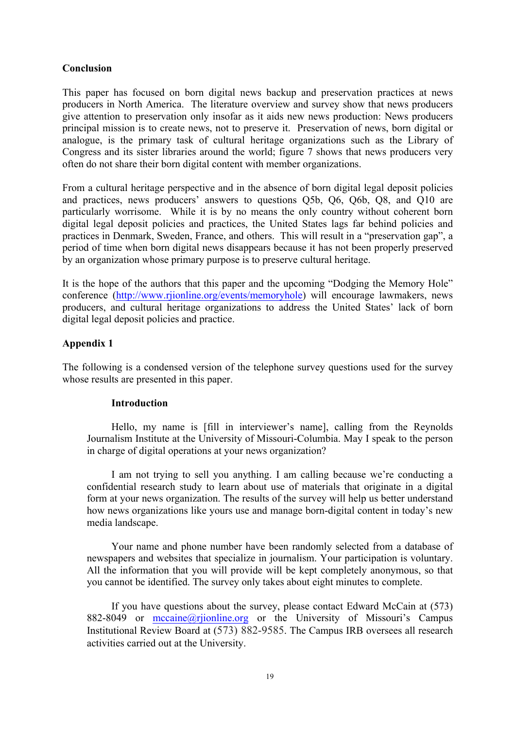#### **Conclusion**

This paper has focused on born digital news backup and preservation practices at news producers in North America. The literature overview and survey show that news producers give attention to preservation only insofar as it aids new news production: News producers principal mission is to create news, not to preserve it. Preservation of news, born digital or analogue, is the primary task of cultural heritage organizations such as the Library of Congress and its sister libraries around the world; figure 7 shows that news producers very often do not share their born digital content with member organizations.

From a cultural heritage perspective and in the absence of born digital legal deposit policies and practices, news producers' answers to questions Q5b, Q6, Q6b, Q8, and Q10 are particularly worrisome. While it is by no means the only country without coherent born digital legal deposit policies and practices, the United States lags far behind policies and practices in Denmark, Sweden, France, and others. This will result in a "preservation gap", a period of time when born digital news disappears because it has not been properly preserved by an organization whose primary purpose is to preserve cultural heritage.

It is the hope of the authors that this paper and the upcoming "Dodging the Memory Hole" conference (http://www.rjionline.org/events/memoryhole) will encourage lawmakers, news producers, and cultural heritage organizations to address the United States' lack of born digital legal deposit policies and practice.

#### **Appendix 1**

The following is a condensed version of the telephone survey questions used for the survey whose results are presented in this paper.

#### **Introduction**

Hello, my name is [fill in interviewer's name], calling from the Reynolds Journalism Institute at the University of Missouri-Columbia. May I speak to the person in charge of digital operations at your news organization?

I am not trying to sell you anything. I am calling because we're conducting a confidential research study to learn about use of materials that originate in a digital form at your news organization. The results of the survey will help us better understand how news organizations like yours use and manage born-digital content in today's new media landscape.

Your name and phone number have been randomly selected from a database of newspapers and websites that specialize in journalism. Your participation is voluntary. All the information that you will provide will be kept completely anonymous, so that you cannot be identified. The survey only takes about eight minutes to complete.

If you have questions about the survey, please contact Edward McCain at (573) 882-8049 or mccaine@rijonline.org or the University of Missouri's Campus Institutional Review Board at (573) 882-9585. The Campus IRB oversees all research activities carried out at the University.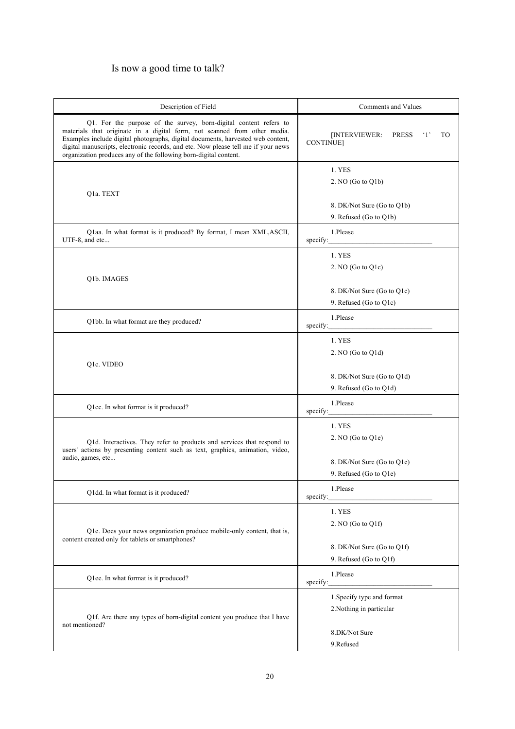# Is now a good time to talk?

| Description of Field                                                                                                                                                                                                                                                                                                                                                                       | Comments and Values                                                       |
|--------------------------------------------------------------------------------------------------------------------------------------------------------------------------------------------------------------------------------------------------------------------------------------------------------------------------------------------------------------------------------------------|---------------------------------------------------------------------------|
| Q1. For the purpose of the survey, born-digital content refers to<br>materials that originate in a digital form, not scanned from other media.<br>Examples include digital photographs, digital documents, harvested web content,<br>digital manuscripts, electronic records, and etc. Now please tell me if your news<br>organization produces any of the following born-digital content. | [INTERVIEWER:<br><b>PRESS</b><br>$\cdot_1$<br>T <sub>O</sub><br>CONTINUE] |
| Q1a. TEXT                                                                                                                                                                                                                                                                                                                                                                                  | 1. YES<br>2. NO (Go to Q1b)                                               |
|                                                                                                                                                                                                                                                                                                                                                                                            | 8. DK/Not Sure (Go to Q1b)<br>9. Refused (Go to Q1b)                      |
| Q1aa. In what format is it produced? By format, I mean XML, ASCII,<br>UTF-8, and etc                                                                                                                                                                                                                                                                                                       | 1.Please<br>specify:                                                      |
| Q1b. IMAGES                                                                                                                                                                                                                                                                                                                                                                                | 1. YES<br>2. NO (Go to $Q1c$ )                                            |
|                                                                                                                                                                                                                                                                                                                                                                                            | 8. DK/Not Sure (Go to Q1c)<br>9. Refused (Go to Q1c)                      |
| Q1bb. In what format are they produced?                                                                                                                                                                                                                                                                                                                                                    | 1.Please<br>specify:                                                      |
| Q1c. VIDEO                                                                                                                                                                                                                                                                                                                                                                                 | 1. YES<br>2. NO (Go to Q1d)                                               |
|                                                                                                                                                                                                                                                                                                                                                                                            | 8. DK/Not Sure (Go to Q1d)<br>9. Refused (Go to Q1d)                      |
| Q1cc. In what format is it produced?                                                                                                                                                                                                                                                                                                                                                       | 1.Please<br>specify:                                                      |
| Q1d. Interactives. They refer to products and services that respond to<br>users' actions by presenting content such as text, graphics, animation, video,<br>audio, games, etc                                                                                                                                                                                                              | 1. YES<br>$2. NO$ (Go to $Q1e$ )                                          |
|                                                                                                                                                                                                                                                                                                                                                                                            | 8. DK/Not Sure (Go to Q1e)<br>9. Refused (Go to Q1e)                      |
| Q1dd. In what format is it produced?                                                                                                                                                                                                                                                                                                                                                       | 1.Please<br>specify:                                                      |
| Q1e. Does your news organization produce mobile-only content, that is,<br>content created only for tablets or smartphones?                                                                                                                                                                                                                                                                 | 1. YES<br>2. NO (Go to Q1f)<br>8. DK/Not Sure (Go to Q1f)                 |
| Q1ee. In what format is it produced?                                                                                                                                                                                                                                                                                                                                                       | 9. Refused (Go to Q1f)<br>1.Please                                        |
| Q1f. Are there any types of born-digital content you produce that I have<br>not mentioned?                                                                                                                                                                                                                                                                                                 | specify:<br>1. Specify type and format<br>2. Nothing in particular        |
|                                                                                                                                                                                                                                                                                                                                                                                            | 8.DK/Not Sure<br>9.Refused                                                |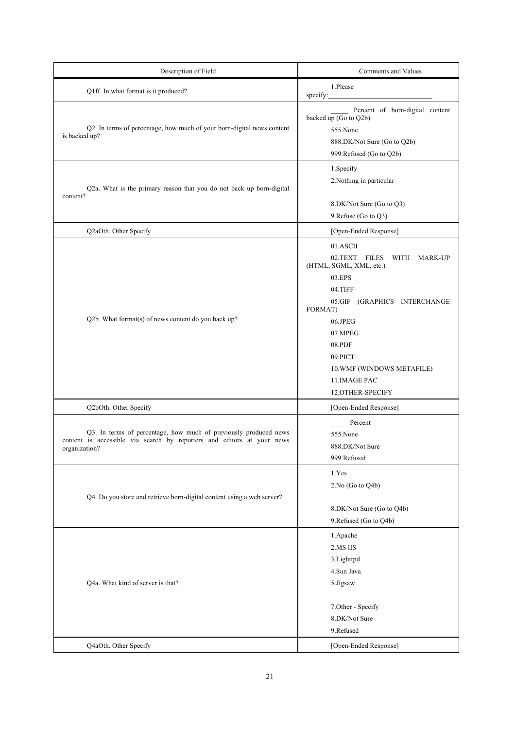| Description of Field                                                                                                                                        | Comments and Values                                                                                                                                                                                                                                |
|-------------------------------------------------------------------------------------------------------------------------------------------------------------|----------------------------------------------------------------------------------------------------------------------------------------------------------------------------------------------------------------------------------------------------|
| Q1ff. In what format is it produced?                                                                                                                        | 1.Please<br>specify:                                                                                                                                                                                                                               |
| Q2. In terms of percentage, how much of your born-digital news content<br>is backed up?                                                                     | Percent of born-digital content<br>backed up (Go to Q2b)<br>555.None<br>888.DK/Not Sure (Go to Q2b)<br>999.Refused (Go to Q2b)                                                                                                                     |
| Q2a. What is the primary reason that you do not back up born-digital<br>content?                                                                            | 1. Specify<br>2. Nothing in particular<br>8.DK/Not Sure (Go to Q3)<br>9. Refuse (Go to Q3)                                                                                                                                                         |
| Q2aOth. Other Specify                                                                                                                                       | [Open-Ended Response]                                                                                                                                                                                                                              |
| Q2b. What format(s) of news content do you back up?                                                                                                         | 01.ASCII<br>02.TEXT FILES<br>WITH MARK-UP<br>(HTML, SGML, XML, etc.)<br>03.EPS<br>04.TIFF<br>05.GIF (GRAPHICS INTERCHANGE<br>FORMAT)<br>06.JPEG<br>07.MPEG<br>08.PDF<br>09.PICT<br>10. WMF (WINDOWS METAFILE)<br>11. IMAGE PAC<br>12.OTHER-SPECIFY |
| Q2bOth. Other Specify                                                                                                                                       | [Open-Ended Response]                                                                                                                                                                                                                              |
| Q3. In terms of percentage, how much of previously produced news<br>content is accessible via search by reporters and editors at your news<br>organization? | Percent<br>555.None<br>888.DK/Not Sure<br>999.Refused                                                                                                                                                                                              |
| Q4. Do you store and retrieve born-digital content using a web server?                                                                                      | 1.Yes<br>2.No (Go to Q4b)<br>8.DK/Not Sure (Go to Q4b)<br>9. Refused (Go to Q4b)                                                                                                                                                                   |
| Q4a. What kind of server is that?                                                                                                                           | 1.Apache<br>2.MS IIS<br>3. Lighttpd<br>4.Sun Java<br>5.Jigsaw<br>7.Other - Specify<br>8.DK/Not Sure<br>9.Refused                                                                                                                                   |
| Q4aOth. Other Specify                                                                                                                                       | [Open-Ended Response]                                                                                                                                                                                                                              |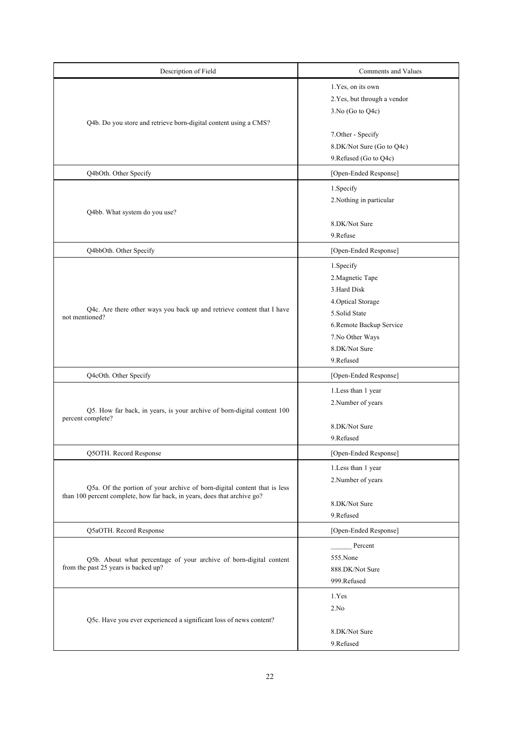| Description of Field                                                                                                                                 | Comments and Values                                                                                                                                             |
|------------------------------------------------------------------------------------------------------------------------------------------------------|-----------------------------------------------------------------------------------------------------------------------------------------------------------------|
| Q4b. Do you store and retrieve born-digital content using a CMS?                                                                                     | 1.Yes, on its own<br>2. Yes, but through a vendor<br>$3.No$ (Go to Q4c)                                                                                         |
|                                                                                                                                                      | 7.Other - Specify<br>8.DK/Not Sure (Go to Q4c)<br>9. Refused (Go to Q4c)                                                                                        |
| Q4bOth. Other Specify                                                                                                                                | [Open-Ended Response]                                                                                                                                           |
| Q4bb. What system do you use?                                                                                                                        | 1.Specify<br>2. Nothing in particular                                                                                                                           |
|                                                                                                                                                      | 8.DK/Not Sure<br>9.Refuse                                                                                                                                       |
| Q4bbOth. Other Specify                                                                                                                               | [Open-Ended Response]                                                                                                                                           |
| Q4c. Are there other ways you back up and retrieve content that I have<br>not mentioned?                                                             | 1.Specify<br>2. Magnetic Tape<br>3.Hard Disk<br>4. Optical Storage<br>5.Solid State<br>6.Remote Backup Service<br>7.No Other Ways<br>8.DK/Not Sure<br>9.Refused |
| Q4cOth. Other Specify                                                                                                                                | [Open-Ended Response]                                                                                                                                           |
| Q5. How far back, in years, is your archive of born-digital content 100<br>percent complete?                                                         | 1.Less than 1 year<br>2. Number of years<br>8.DK/Not Sure                                                                                                       |
|                                                                                                                                                      | 9.Refused                                                                                                                                                       |
| Q5OTH. Record Response                                                                                                                               | [Open-Ended Response]                                                                                                                                           |
| Q5a. Of the portion of your archive of born-digital content that is less<br>than 100 percent complete, how far back, in years, does that archive go? | 1. Less than 1 year<br>2. Number of years<br>8.DK/Not Sure<br>9.Refused                                                                                         |
| Q5aOTH. Record Response                                                                                                                              | [Open-Ended Response]                                                                                                                                           |
| Q5b. About what percentage of your archive of born-digital content<br>from the past 25 years is backed up?                                           | Percent<br>555.None<br>888.DK/Not Sure<br>999.Refused                                                                                                           |
| Q5c. Have you ever experienced a significant loss of news content?                                                                                   | 1.Yes<br>2.No<br>8.DK/Not Sure<br>9.Refused                                                                                                                     |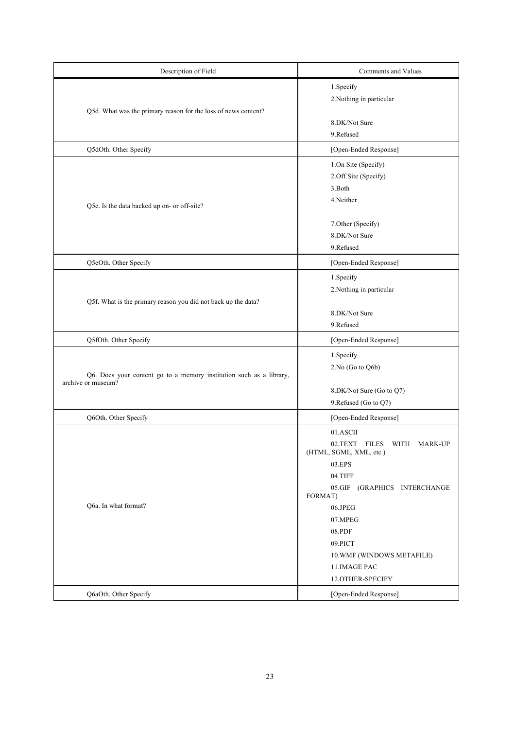| Description of Field                                                                      | Comments and Values                                                                                       |
|-------------------------------------------------------------------------------------------|-----------------------------------------------------------------------------------------------------------|
| Q5d. What was the primary reason for the loss of news content?                            | 1.Specify<br>2. Nothing in particular                                                                     |
|                                                                                           | 8.DK/Not Sure<br>9.Refused                                                                                |
| Q5dOth. Other Specify                                                                     | [Open-Ended Response]                                                                                     |
| Q5e. Is the data backed up on- or off-site?                                               | 1.On Site (Specify)<br>2.Off Site (Specify)<br>3.Both<br>4.Neither                                        |
|                                                                                           | 7. Other (Specify)<br>8.DK/Not Sure<br>9.Refused                                                          |
| Q5eOth. Other Specify                                                                     | [Open-Ended Response]                                                                                     |
| Q5f. What is the primary reason you did not back up the data?                             | 1.Specify<br>2. Nothing in particular                                                                     |
|                                                                                           | 8.DK/Not Sure<br>9.Refused                                                                                |
| Q5fOth. Other Specify                                                                     | [Open-Ended Response]                                                                                     |
| Q6. Does your content go to a memory institution such as a library,<br>archive or museum? | 1. Specify<br>2.No (Go to Q6b)                                                                            |
|                                                                                           | 8.DK/Not Sure (Go to Q7)<br>9. Refused (Go to Q7)                                                         |
| Q6Oth. Other Specify                                                                      | [Open-Ended Response]                                                                                     |
| Q6a. In what format?                                                                      | 01.ASCII<br>02.TEXT<br>FILES<br>WITH MARK-UP<br>(HTML, SGML, XML, etc.)<br>03.EPS                         |
|                                                                                           | 04.TIFF<br>05.GIF (GRAPHICS INTERCHANGE<br>FORMAT)                                                        |
|                                                                                           | 06.JPEG<br>07.MPEG<br>08.PDF<br>09.PICT<br>10.WMF (WINDOWS METAFILE)<br>11. IMAGE PAC<br>12.OTHER-SPECIFY |
| Q6aOth. Other Specify                                                                     | [Open-Ended Response]                                                                                     |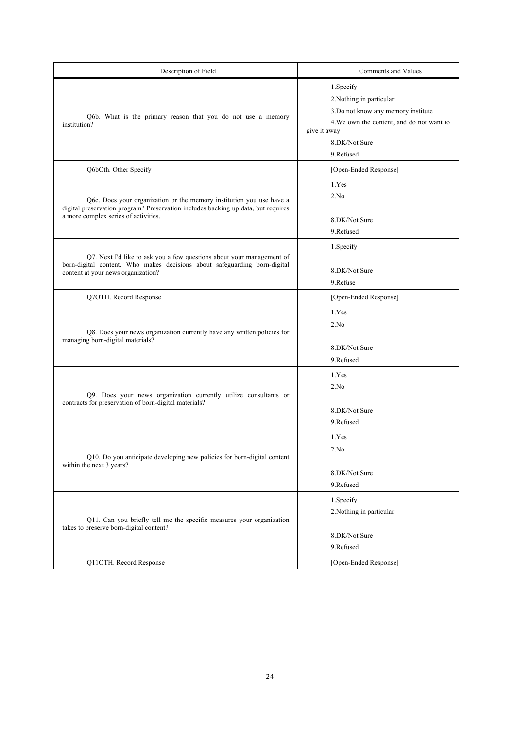| Description of Field                                                                                                                                                                              | Comments and Values                                                                                                                                                      |
|---------------------------------------------------------------------------------------------------------------------------------------------------------------------------------------------------|--------------------------------------------------------------------------------------------------------------------------------------------------------------------------|
| Q6b. What is the primary reason that you do not use a memory<br>institution?                                                                                                                      | 1. Specify<br>2. Nothing in particular<br>3. Do not know any memory institute<br>4. We own the content, and do not want to<br>give it away<br>8.DK/Not Sure<br>9.Refused |
| Q6bOth. Other Specify                                                                                                                                                                             | [Open-Ended Response]                                                                                                                                                    |
| Q6c. Does your organization or the memory institution you use have a<br>digital preservation program? Preservation includes backing up data, but requires<br>a more complex series of activities. | 1.Yes<br>2.No<br>8.DK/Not Sure<br>9.Refused                                                                                                                              |
| Q7. Next I'd like to ask you a few questions about your management of<br>born-digital content. Who makes decisions about safeguarding born-digital<br>content at your news organization?          | 1. Specify<br>8.DK/Not Sure<br>9.Refuse                                                                                                                                  |
| Q7OTH. Record Response                                                                                                                                                                            | [Open-Ended Response]                                                                                                                                                    |
| Q8. Does your news organization currently have any written policies for<br>managing born-digital materials?                                                                                       | 1.Yes<br>2.No<br>8.DK/Not Sure<br>9.Refused                                                                                                                              |
| Q9. Does your news organization currently utilize consultants or<br>contracts for preservation of born-digital materials?                                                                         | 1.Yes<br>2.No<br>8.DK/Not Sure<br>9.Refused                                                                                                                              |
| Q10. Do you anticipate developing new policies for born-digital content<br>within the next 3 years?                                                                                               | 1.Yes<br>2.No<br>8.DK/Not Sure<br>9.Refused                                                                                                                              |
| Q11. Can you briefly tell me the specific measures your organization<br>takes to preserve born-digital content?                                                                                   | 1. Specify<br>2. Nothing in particular<br>8.DK/Not Sure<br>9.Refused                                                                                                     |
| Q11OTH. Record Response                                                                                                                                                                           | [Open-Ended Response]                                                                                                                                                    |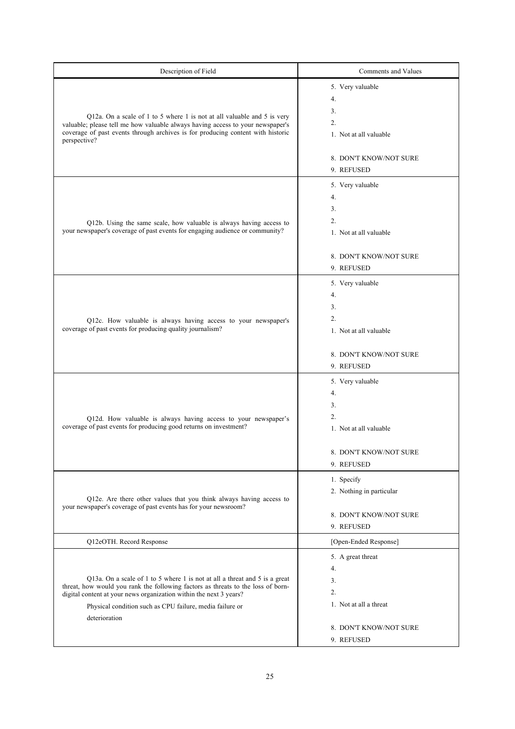| Description of Field                                                                                                                                                                                                                                                                                              | Comments and Values                                                                                                 |
|-------------------------------------------------------------------------------------------------------------------------------------------------------------------------------------------------------------------------------------------------------------------------------------------------------------------|---------------------------------------------------------------------------------------------------------------------|
| Q12a. On a scale of 1 to 5 where 1 is not at all valuable and 5 is very<br>valuable; please tell me how valuable always having access to your newspaper's<br>coverage of past events through archives is for producing content with historic<br>perspective?                                                      | 5. Very valuable<br>4.<br>3.<br>$\overline{2}$ .<br>1. Not at all valuable<br>8. DON'T KNOW/NOT SURE<br>9. REFUSED  |
| Q12b. Using the same scale, how valuable is always having access to<br>your newspaper's coverage of past events for engaging audience or community?                                                                                                                                                               | 5. Very valuable<br>4.<br>3.<br>2.<br>1. Not at all valuable<br>8. DON'T KNOW/NOT SURE<br>9. REFUSED                |
| Q12c. How valuable is always having access to your newspaper's<br>coverage of past events for producing quality journalism?                                                                                                                                                                                       | 5. Very valuable<br>4.<br>3.<br>$\overline{2}$ .<br>1. Not at all valuable<br>8. DON'T KNOW/NOT SURE<br>9. REFUSED  |
| Q12d. How valuable is always having access to your newspaper's<br>coverage of past events for producing good returns on investment?                                                                                                                                                                               | 5. Very valuable<br>4.<br>3.<br>2.<br>1. Not at all valuable<br>8. DON'T KNOW/NOT SURE<br>9. REFUSED                |
| Q12e. Are there other values that you think always having access to<br>your newspaper's coverage of past events has for your newsroom?                                                                                                                                                                            | 1. Specify<br>2. Nothing in particular<br>8. DON'T KNOW/NOT SURE<br>9. REFUSED                                      |
| Q12eOTH. Record Response                                                                                                                                                                                                                                                                                          | [Open-Ended Response]                                                                                               |
| Q13a. On a scale of 1 to 5 where 1 is not at all a threat and 5 is a great<br>threat, how would you rank the following factors as threats to the loss of born-<br>digital content at your news organization within the next 3 years?<br>Physical condition such as CPU failure, media failure or<br>deterioration | 5. A great threat<br>4.<br>3.<br>$\overline{2}$ .<br>1. Not at all a threat<br>8. DON'T KNOW/NOT SURE<br>9. REFUSED |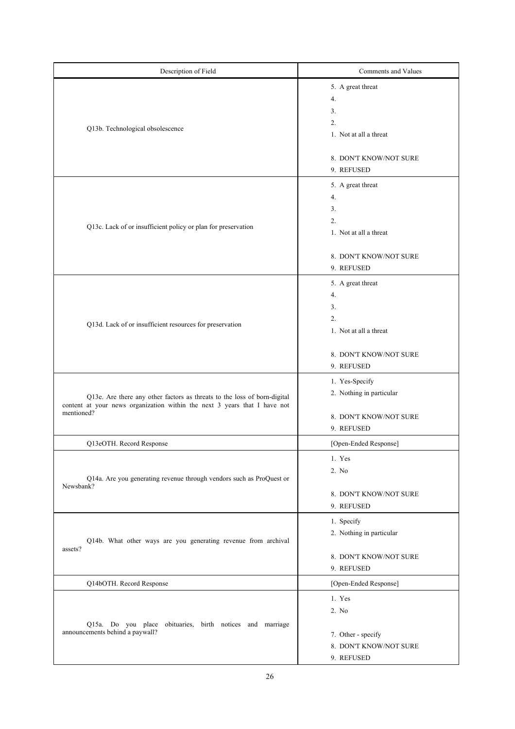| Description of Field                                                                                                                                                | Comments and Values                                                                                                               |
|---------------------------------------------------------------------------------------------------------------------------------------------------------------------|-----------------------------------------------------------------------------------------------------------------------------------|
| Q13b. Technological obsolescence                                                                                                                                    | 5. A great threat<br>4.<br>3.<br>$\overline{2}$ .<br>1. Not at all a threat<br>8. DON'T KNOW/NOT SURE                             |
| Q13c. Lack of or insufficient policy or plan for preservation                                                                                                       | 9. REFUSED<br>5. A great threat<br>4.<br>3.<br>$\overline{2}$ .<br>1. Not at all a threat<br>8. DON'T KNOW/NOT SURE<br>9. REFUSED |
| Q13d. Lack of or insufficient resources for preservation                                                                                                            | 5. A great threat<br>4.<br>3.<br>2.<br>1. Not at all a threat<br>8. DON'T KNOW/NOT SURE<br>9. REFUSED                             |
| Q13e. Are there any other factors as threats to the loss of born-digital<br>content at your news organization within the next 3 years that I have not<br>mentioned? | 1. Yes-Specify<br>2. Nothing in particular<br>8. DON'T KNOW/NOT SURE<br>9. REFUSED                                                |
| Q13eOTH. Record Response                                                                                                                                            | [Open-Ended Response]                                                                                                             |
| Q14a. Are you generating revenue through vendors such as ProQuest or<br>Newsbank?                                                                                   | 1. Yes<br>2. No<br>8. DON'T KNOW/NOT SURE<br>9. REFUSED                                                                           |
| Q14b. What other ways are you generating revenue from archival<br>assets?                                                                                           | 1. Specify<br>2. Nothing in particular<br>8. DON'T KNOW/NOT SURE<br>9. REFUSED                                                    |
| Q14bOTH. Record Response                                                                                                                                            | [Open-Ended Response]                                                                                                             |
| Q15a. Do you place obituaries, birth notices and marriage<br>announcements behind a paywall?                                                                        | 1. Yes<br>2. No<br>7. Other - specify<br>8. DON'T KNOW/NOT SURE<br>9. REFUSED                                                     |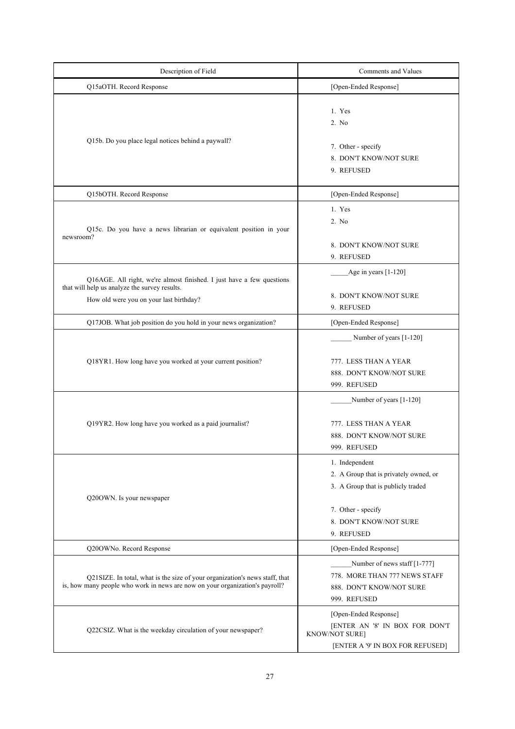| Description of Field                                                                                                                                              | Comments and Values                                                                                                                                          |
|-------------------------------------------------------------------------------------------------------------------------------------------------------------------|--------------------------------------------------------------------------------------------------------------------------------------------------------------|
| Q15aOTH. Record Response                                                                                                                                          | [Open-Ended Response]                                                                                                                                        |
| Q15b. Do you place legal notices behind a paywall?                                                                                                                | 1. Yes<br>2. No<br>7. Other - specify<br>8. DON'T KNOW/NOT SURE<br>9. REFUSED                                                                                |
| Q15bOTH. Record Response                                                                                                                                          | [Open-Ended Response]                                                                                                                                        |
| Q15c. Do you have a news librarian or equivalent position in your<br>newsroom?                                                                                    | 1. Yes<br>2. No<br>8. DON'T KNOW/NOT SURE<br>9. REFUSED                                                                                                      |
| Q16AGE. All right, we're almost finished. I just have a few questions<br>that will help us analyze the survey results.<br>How old were you on your last birthday? | Age in years $[1-120]$<br>8. DON'T KNOW/NOT SURE<br>9. REFUSED                                                                                               |
| Q17JOB. What job position do you hold in your news organization?                                                                                                  | [Open-Ended Response]                                                                                                                                        |
| Q18YR1. How long have you worked at your current position?                                                                                                        | Number of years [1-120]<br>777. LESS THAN A YEAR<br>888. DON'T KNOW/NOT SURE<br>999. REFUSED                                                                 |
| Q19YR2. How long have you worked as a paid journalist?                                                                                                            | Number of years [1-120]<br>777. LESS THAN A YEAR<br>888. DON'T KNOW/NOT SURE<br>999. REFUSED                                                                 |
| Q20OWN. Is your newspaper                                                                                                                                         | 1. Independent<br>2. A Group that is privately owned, or<br>3. A Group that is publicly traded<br>7. Other - specify<br>8. DON'T KNOW/NOT SURE<br>9. REFUSED |
| Q20OWNo. Record Response                                                                                                                                          | [Open-Ended Response]                                                                                                                                        |
| Q21SIZE. In total, what is the size of your organization's news staff, that<br>is, how many people who work in news are now on your organization's payroll?       | Number of news staff [1-777]<br>778. MORE THAN 777 NEWS STAFF<br>888. DON'T KNOW/NOT SURE<br>999. REFUSED                                                    |
| Q22CSIZ. What is the weekday circulation of your newspaper?                                                                                                       | [Open-Ended Response]<br>[ENTER AN '8' IN BOX FOR DON'T<br><b>KNOW/NOT SURE]</b><br>[ENTER A '9' IN BOX FOR REFUSED]                                         |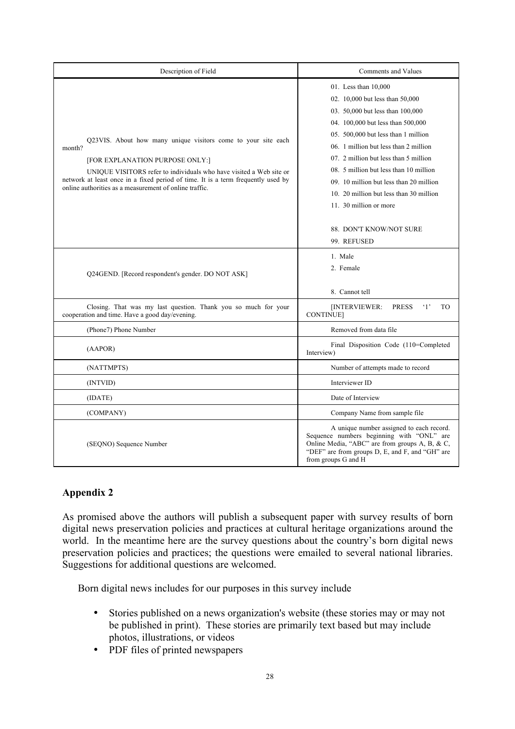| Description of Field                                                                                                                                                                                                                                                                                                            | Comments and Values                                                                                                                                                                                                                                                                                                                                                                                                                                           |
|---------------------------------------------------------------------------------------------------------------------------------------------------------------------------------------------------------------------------------------------------------------------------------------------------------------------------------|---------------------------------------------------------------------------------------------------------------------------------------------------------------------------------------------------------------------------------------------------------------------------------------------------------------------------------------------------------------------------------------------------------------------------------------------------------------|
| Q23VIS. About how many unique visitors come to your site each<br>month?<br>[FOR EXPLANATION PURPOSE ONLY:]<br>UNIQUE VISITORS refer to individuals who have visited a Web site or<br>network at least once in a fixed period of time. It is a term frequently used by<br>online authorities as a measurement of online traffic. | 01. Less than 10,000<br>02. 10,000 but less than 50,000<br>03. 50,000 but less than 100,000<br>04. 100,000 but less than 500,000<br>05. 500,000 but less than 1 million<br>06. 1 million but less than 2 million<br>07. 2 million but less than 5 million<br>08. 5 million but less than 10 million<br>09. 10 million but less than 20 million<br>10. 20 million but less than 30 million<br>11. 30 million or more<br>88. DON'T KNOW/NOT SURE<br>99. REFUSED |
| Q24GEND. [Record respondent's gender. DO NOT ASK]                                                                                                                                                                                                                                                                               | 1. Male<br>2. Female<br>8. Cannot tell                                                                                                                                                                                                                                                                                                                                                                                                                        |
| Closing. That was my last question. Thank you so much for your<br>cooperation and time. Have a good day/evening.                                                                                                                                                                                                                | <b>PRESS</b><br>$\cdot_1$<br>[INTERVIEWER:<br>T <sub>O</sub><br><b>CONTINUE</b>                                                                                                                                                                                                                                                                                                                                                                               |
| (Phone7) Phone Number                                                                                                                                                                                                                                                                                                           | Removed from data file                                                                                                                                                                                                                                                                                                                                                                                                                                        |
| (AAPOR)                                                                                                                                                                                                                                                                                                                         | Final Disposition Code (110=Completed<br>Interview)                                                                                                                                                                                                                                                                                                                                                                                                           |
| (NATTMPTS)                                                                                                                                                                                                                                                                                                                      | Number of attempts made to record                                                                                                                                                                                                                                                                                                                                                                                                                             |
| (INTVID)                                                                                                                                                                                                                                                                                                                        | Interviewer ID                                                                                                                                                                                                                                                                                                                                                                                                                                                |
| (IDATE)                                                                                                                                                                                                                                                                                                                         | Date of Interview                                                                                                                                                                                                                                                                                                                                                                                                                                             |
| (COMPANY)                                                                                                                                                                                                                                                                                                                       | Company Name from sample file                                                                                                                                                                                                                                                                                                                                                                                                                                 |
| (SEQNO) Sequence Number                                                                                                                                                                                                                                                                                                         | A unique number assigned to each record.<br>Sequence numbers beginning with "ONL" are<br>Online Media, "ABC" are from groups A, B, & C,<br>"DEF" are from groups D, E, and F, and "GH" are<br>from groups G and H                                                                                                                                                                                                                                             |

## **Appendix 2**

As promised above the authors will publish a subsequent paper with survey results of born digital news preservation policies and practices at cultural heritage organizations around the world. In the meantime here are the survey questions about the country's born digital news preservation policies and practices; the questions were emailed to several national libraries. Suggestions for additional questions are welcomed.

Born digital news includes for our purposes in this survey include

- Stories published on a news organization's website (these stories may or may not be published in print). These stories are primarily text based but may include photos, illustrations, or videos
- PDF files of printed newspapers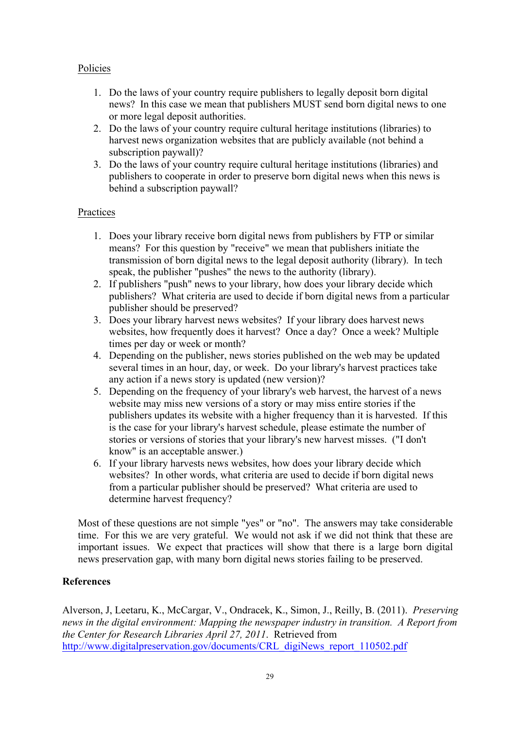## Policies

- 1. Do the laws of your country require publishers to legally deposit born digital news? In this case we mean that publishers MUST send born digital news to one or more legal deposit authorities.
- 2. Do the laws of your country require cultural heritage institutions (libraries) to harvest news organization websites that are publicly available (not behind a subscription paywall)?
- 3. Do the laws of your country require cultural heritage institutions (libraries) and publishers to cooperate in order to preserve born digital news when this news is behind a subscription paywall?

#### Practices

- 1. Does your library receive born digital news from publishers by FTP or similar means? For this question by "receive" we mean that publishers initiate the transmission of born digital news to the legal deposit authority (library). In tech speak, the publisher "pushes" the news to the authority (library).
- 2. If publishers "push" news to your library, how does your library decide which publishers? What criteria are used to decide if born digital news from a particular publisher should be preserved?
- 3. Does your library harvest news websites? If your library does harvest news websites, how frequently does it harvest? Once a day? Once a week? Multiple times per day or week or month?
- 4. Depending on the publisher, news stories published on the web may be updated several times in an hour, day, or week. Do your library's harvest practices take any action if a news story is updated (new version)?
- 5. Depending on the frequency of your library's web harvest, the harvest of a news website may miss new versions of a story or may miss entire stories if the publishers updates its website with a higher frequency than it is harvested. If this is the case for your library's harvest schedule, please estimate the number of stories or versions of stories that your library's new harvest misses. ("I don't know" is an acceptable answer.)
- 6. If your library harvests news websites, how does your library decide which websites? In other words, what criteria are used to decide if born digital news from a particular publisher should be preserved? What criteria are used to determine harvest frequency?

Most of these questions are not simple "yes" or "no". The answers may take considerable time. For this we are very grateful. We would not ask if we did not think that these are important issues. We expect that practices will show that there is a large born digital news preservation gap, with many born digital news stories failing to be preserved.

## **References**

Alverson, J, Leetaru, K., McCargar, V., Ondracek, K., Simon, J., Reilly, B. (2011). *Preserving news in the digital environment: Mapping the newspaper industry in transition. A Report from the Center for Research Libraries April 27, 2011*. Retrieved from http://www.digitalpreservation.gov/documents/CRL\_digiNews\_report\_110502.pdf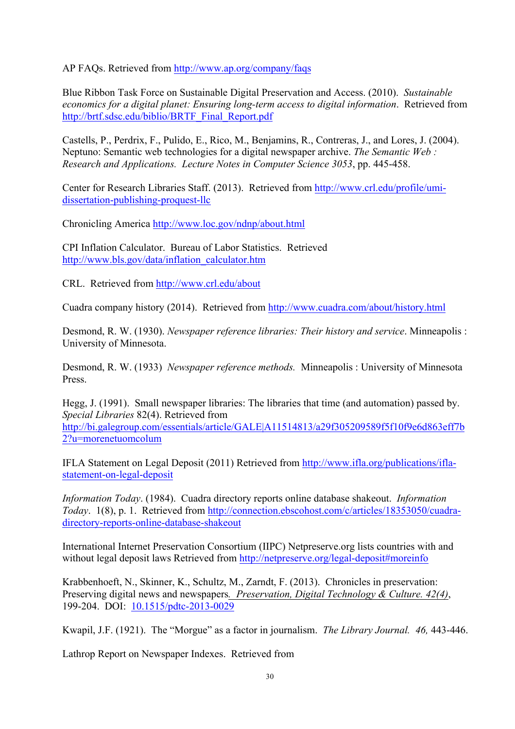AP FAQs. Retrieved from http://www.ap.org/company/faqs

Blue Ribbon Task Force on Sustainable Digital Preservation and Access. (2010). *Sustainable economics for a digital planet: Ensuring long-term access to digital information*. Retrieved from http://brtf.sdsc.edu/biblio/BRTF\_Final\_Report.pdf

Castells, P., Perdrix, F., Pulido, E., Rico, M., Benjamins, R., Contreras, J., and Lores, J. (2004). Neptuno: Semantic web technologies for a digital newspaper archive. *The Semantic Web : Research and Applications. Lecture Notes in Computer Science 3053*, pp. 445-458.

Center for Research Libraries Staff. (2013). Retrieved from http://www.crl.edu/profile/umidissertation-publishing-proquest-llc

Chronicling America http://www.loc.gov/ndnp/about.html

CPI Inflation Calculator. Bureau of Labor Statistics. Retrieved http://www.bls.gov/data/inflation\_calculator.htm

CRL. Retrieved from http://www.crl.edu/about

Cuadra company history (2014). Retrieved from http://www.cuadra.com/about/history.html

Desmond, R. W. (1930). *Newspaper reference libraries: Their history and service*. Minneapolis : University of Minnesota.

Desmond, R. W. (1933) *Newspaper reference methods.* Minneapolis : University of Minnesota Press.

Hegg, J. (1991). Small newspaper libraries: The libraries that time (and automation) passed by. *Special Libraries* 82(4). Retrieved from http://bi.galegroup.com/essentials/article/GALE|A11514813/a29f305209589f5f10f9e6d863eff7b 2?u=morenetuomcolum

IFLA Statement on Legal Deposit (2011) Retrieved from http://www.ifla.org/publications/iflastatement-on-legal-deposit

*Information Today*. (1984). Cuadra directory reports online database shakeout. *Information Today*. 1(8), p. 1. Retrieved from http://connection.ebscohost.com/c/articles/18353050/cuadradirectory-reports-online-database-shakeout

International Internet Preservation Consortium (IIPC) Netpreserve.org lists countries with and without legal deposit laws Retrieved from http://netpreserve.org/legal-deposit#moreinfo

Krabbenhoeft, N., Skinner, K., Schultz, M., Zarndt, F. (2013). Chronicles in preservation: Preserving digital news and newspapers*. Preservation, Digital Technology & Culture. 42(4)*, 199-204. DOI: 10.1515/pdtc-2013-0029

Kwapil, J.F. (1921). The "Morgue" as a factor in journalism. *The Library Journal. 46,* 443-446.

Lathrop Report on Newspaper Indexes. Retrieved from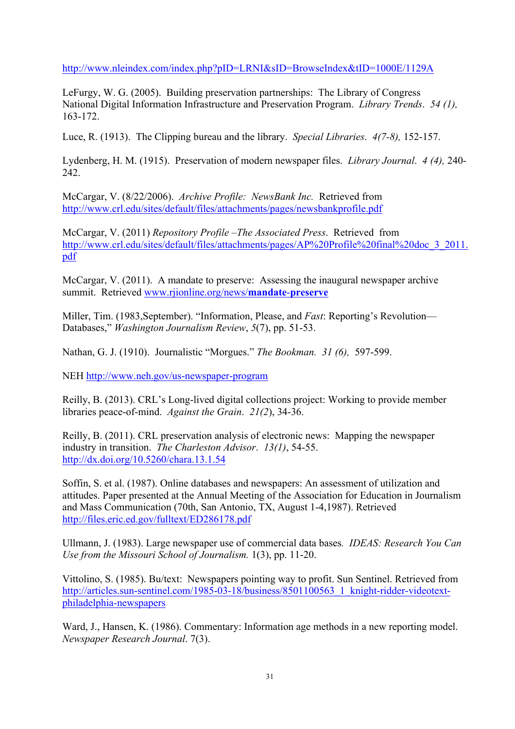http://www.nleindex.com/index.php?pID=LRNI&sID=BrowseIndex&tID=1000E/1129A

LeFurgy, W. G. (2005). Building preservation partnerships: The Library of Congress National Digital Information Infrastructure and Preservation Program. *Library Trends*. *54 (1),* 163-172.

Luce, R. (1913). The Clipping bureau and the library. *Special Libraries*. *4(7-8),* 152-157.

Lydenberg, H. M. (1915). Preservation of modern newspaper files. *Library Journal*. *4 (4),* 240- 242.

McCargar, V. (8/22/2006). *Archive Profile: NewsBank Inc.* Retrieved from http://www.crl.edu/sites/default/files/attachments/pages/newsbankprofile.pdf

McCargar, V. (2011) *Repository Profile –The Associated Press*. Retrieved from http://www.crl.edu/sites/default/files/attachments/pages/AP%20Profile%20final%20doc\_3\_2011. pdf

McCargar, V. (2011). A mandate to preserve: Assessing the inaugural newspaper archive summit. Retrieved www.rjionline.org/news/**mandate**-**preserve**

Miller, Tim. (1983,September). "Information, Please, and *Fast*: Reporting's Revolution— Databases," *Washington Journalism Review*, *5*(7), pp. 51-53.

Nathan, G. J. (1910). Journalistic "Morgues." *The Bookman. 31 (6),* 597-599.

NEH http://www.neh.gov/us-newspaper-program

Reilly, B. (2013). CRL's Long-lived digital collections project: Working to provide member libraries peace-of-mind. *Against the Grain*. *21(2*), 34-36.

Reilly, B. (2011). CRL preservation analysis of electronic news: Mapping the newspaper industry in transition. *The Charleston Advisor*. *13(1)*, 54-55. http://dx.doi.org/10.5260/chara.13.1.54

Soffin, S. et al. (1987). Online databases and newspapers: An assessment of utilization and attitudes. Paper presented at the Annual Meeting of the Association for Education in Journalism and Mass Communication (70th, San Antonio, TX, August 1-4,1987). Retrieved http://files.eric.ed.gov/fulltext/ED286178.pdf

Ullmann, J. (1983). Large newspaper use of commercial data bases*. IDEAS: Research You Can Use from the Missouri School of Journalism.* 1(3), pp. 11-20.

Vittolino, S. (1985). Bu/text: Newspapers pointing way to profit. Sun Sentinel. Retrieved from http://articles.sun-sentinel.com/1985-03-18/business/8501100563\_1\_knight-ridder-videotextphiladelphia-newspapers

Ward, J., Hansen, K. (1986). Commentary: Information age methods in a new reporting model. *Newspaper Research Journal*. 7(3).